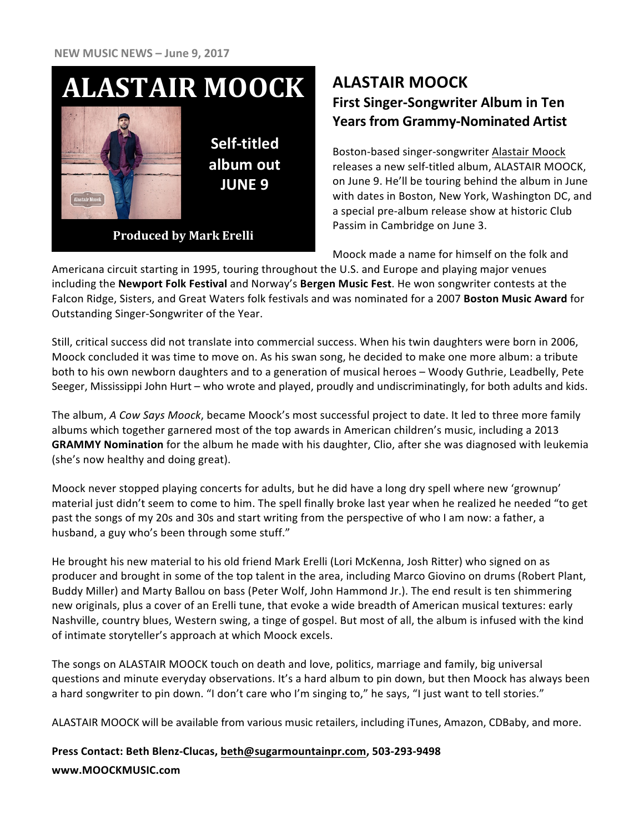## **ALASTAIR MOOCK**



**Self-titled album out JUNE 9** 

**Produced by Mark Erelli** 

### **ALASTAIR MOOCK First Singer-Songwriter Album in Ten Years from Grammy-Nominated Artist**

Boston-based singer-songwriter Alastair Moock releases a new self-titled album, ALASTAIR MOOCK, on June 9. He'll be touring behind the album in June with dates in Boston, New York, Washington DC, and a special pre-album release show at historic Club Passim in Cambridge on June 3.

Moock made a name for himself on the folk and

Americana circuit starting in 1995, touring throughout the U.S. and Europe and playing major venues including the **Newport Folk Festival** and Norway's Bergen Music Fest. He won songwriter contests at the Falcon Ridge, Sisters, and Great Waters folk festivals and was nominated for a 2007 Boston Music Award for Outstanding Singer-Songwriter of the Year.

Still, critical success did not translate into commercial success. When his twin daughters were born in 2006, Moock concluded it was time to move on. As his swan song, he decided to make one more album: a tribute both to his own newborn daughters and to a generation of musical heroes – Woody Guthrie, Leadbelly, Pete Seeger, Mississippi John Hurt – who wrote and played, proudly and undiscriminatingly, for both adults and kids.

The album, *A Cow Says Moock*, became Moock's most successful project to date. It led to three more family albums which together garnered most of the top awards in American children's music, including a 2013 **GRAMMY Nomination** for the album he made with his daughter, Clio, after she was diagnosed with leukemia (she's now healthy and doing great).

Moock never stopped playing concerts for adults, but he did have a long dry spell where new 'grownup' material just didn't seem to come to him. The spell finally broke last year when he realized he needed "to get past the songs of my 20s and 30s and start writing from the perspective of who I am now: a father, a husband, a guy who's been through some stuff."

He brought his new material to his old friend Mark Erelli (Lori McKenna, Josh Ritter) who signed on as producer and brought in some of the top talent in the area, including Marco Giovino on drums (Robert Plant, Buddy Miller) and Marty Ballou on bass (Peter Wolf, John Hammond Jr.). The end result is ten shimmering new originals, plus a cover of an Erelli tune, that evoke a wide breadth of American musical textures: early Nashville, country blues, Western swing, a tinge of gospel. But most of all, the album is infused with the kind of intimate storyteller's approach at which Moock excels.

The songs on ALASTAIR MOOCK touch on death and love, politics, marriage and family, big universal questions and minute everyday observations. It's a hard album to pin down, but then Moock has always been a hard songwriter to pin down. "I don't care who I'm singing to," he says, "I just want to tell stories."

ALASTAIR MOOCK will be available from various music retailers, including iTunes, Amazon, CDBaby, and more.

#### **Press Contact: Beth Blenz-Clucas, beth@sugarmountainpr.com, 503-293-9498 www.MOOCKMUSIC.com**